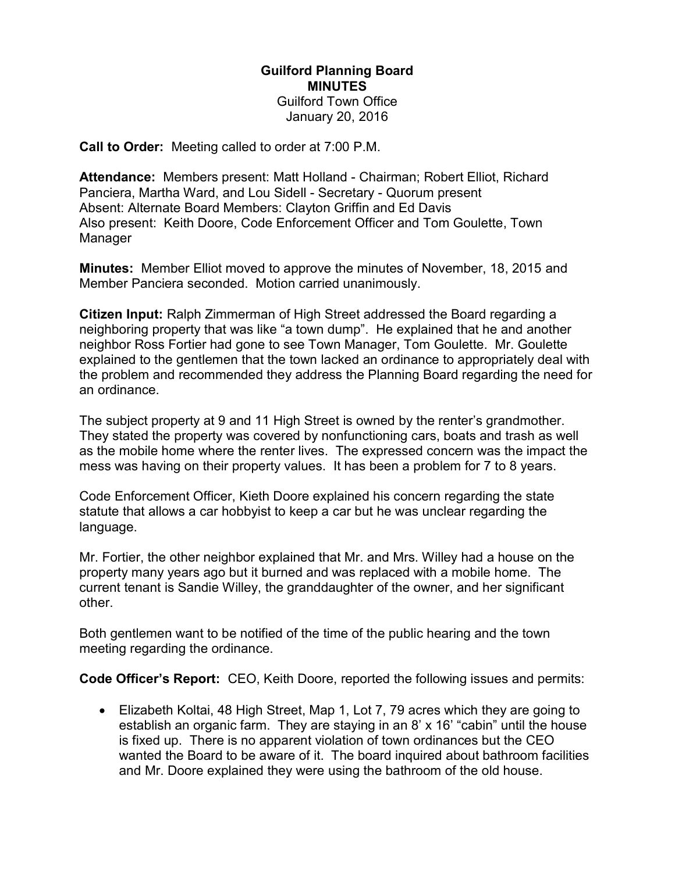## Guilford Planning Board MINUTES Guilford Town Office

January 20, 2016

Call to Order: Meeting called to order at 7:00 P.M.

Attendance: Members present: Matt Holland - Chairman; Robert Elliot, Richard Panciera, Martha Ward, and Lou Sidell - Secretary - Quorum present Absent: Alternate Board Members: Clayton Griffin and Ed Davis Also present: Keith Doore, Code Enforcement Officer and Tom Goulette, Town Manager

Minutes: Member Elliot moved to approve the minutes of November, 18, 2015 and Member Panciera seconded. Motion carried unanimously.

Citizen Input: Ralph Zimmerman of High Street addressed the Board regarding a neighboring property that was like "a town dump". He explained that he and another neighbor Ross Fortier had gone to see Town Manager, Tom Goulette. Mr. Goulette explained to the gentlemen that the town lacked an ordinance to appropriately deal with the problem and recommended they address the Planning Board regarding the need for an ordinance.

The subject property at 9 and 11 High Street is owned by the renter's grandmother. They stated the property was covered by nonfunctioning cars, boats and trash as well as the mobile home where the renter lives. The expressed concern was the impact the mess was having on their property values. It has been a problem for 7 to 8 years.

Code Enforcement Officer, Kieth Doore explained his concern regarding the state statute that allows a car hobbyist to keep a car but he was unclear regarding the language.

Mr. Fortier, the other neighbor explained that Mr. and Mrs. Willey had a house on the property many years ago but it burned and was replaced with a mobile home. The current tenant is Sandie Willey, the granddaughter of the owner, and her significant other.

Both gentlemen want to be notified of the time of the public hearing and the town meeting regarding the ordinance.

Code Officer's Report: CEO, Keith Doore, reported the following issues and permits:

 Elizabeth Koltai, 48 High Street, Map 1, Lot 7, 79 acres which they are going to establish an organic farm. They are staying in an 8' x 16' "cabin" until the house is fixed up. There is no apparent violation of town ordinances but the CEO wanted the Board to be aware of it. The board inquired about bathroom facilities and Mr. Doore explained they were using the bathroom of the old house.